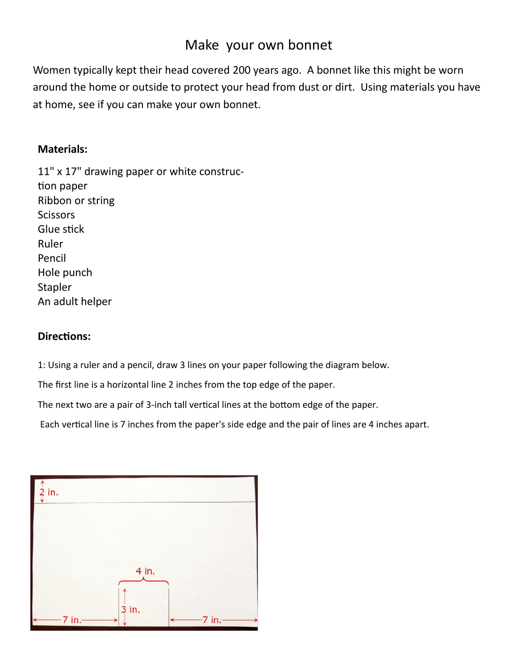## Make your own bonnet

Women typically kept their head covered 200 years ago. A bonnet like this might be worn around the home or outside to protect your head from dust or dirt. Using materials you have at home, see if you can make your own bonnet.

## **Materials:**

11" x 17" drawing paper or white construction paper Ribbon or string **Scissors** Glue stick Ruler Pencil Hole punch Stapler An adult helper

## **Directions:**

1: Using a ruler and a pencil, draw 3 lines on your paper following the diagram below.

The first line is a horizontal line 2 inches from the top edge of the paper.

The next two are a pair of 3-inch tall vertical lines at the bottom edge of the paper.

Each vertical line is 7 inches from the paper's side edge and the pair of lines are 4 inches apart.

| $\frac{1}{2}$ in. |       |          |
|-------------------|-------|----------|
|                   |       |          |
|                   |       |          |
|                   | 4 in. |          |
|                   | 3 in. |          |
| $-7$ in.<br>↞     |       | $-7$ in. |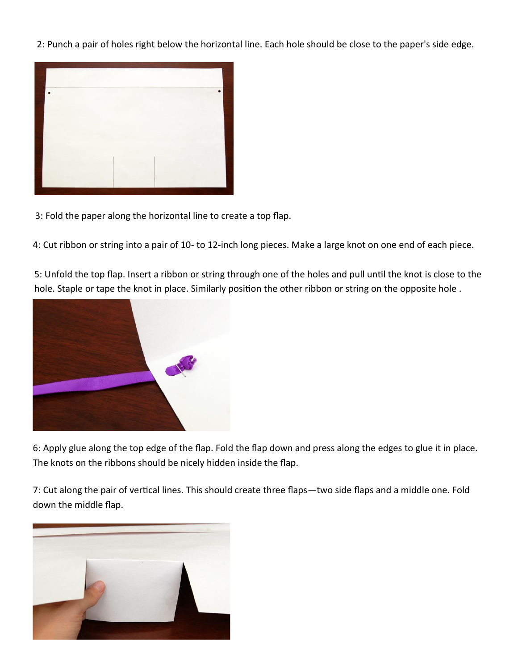2: Punch a pair of holes right below the horizontal line. Each hole should be close to the paper's side edge.



3: Fold the paper along the horizontal line to create a top flap.

4: Cut ribbon or string into a pair of 10- to 12-inch long pieces. Make a large knot on one end of each piece.

5: Unfold the top flap. Insert a ribbon or string through one of the holes and pull until the knot is close to the hole. Staple or tape the knot in place. Similarly position the other ribbon or string on the opposite hole .



6: Apply glue along the top edge of the flap. Fold the flap down and press along the edges to glue it in place. The knots on the ribbons should be nicely hidden inside the flap.

7: Cut along the pair of vertical lines. This should create three flaps—two side flaps and a middle one. Fold down the middle flap.